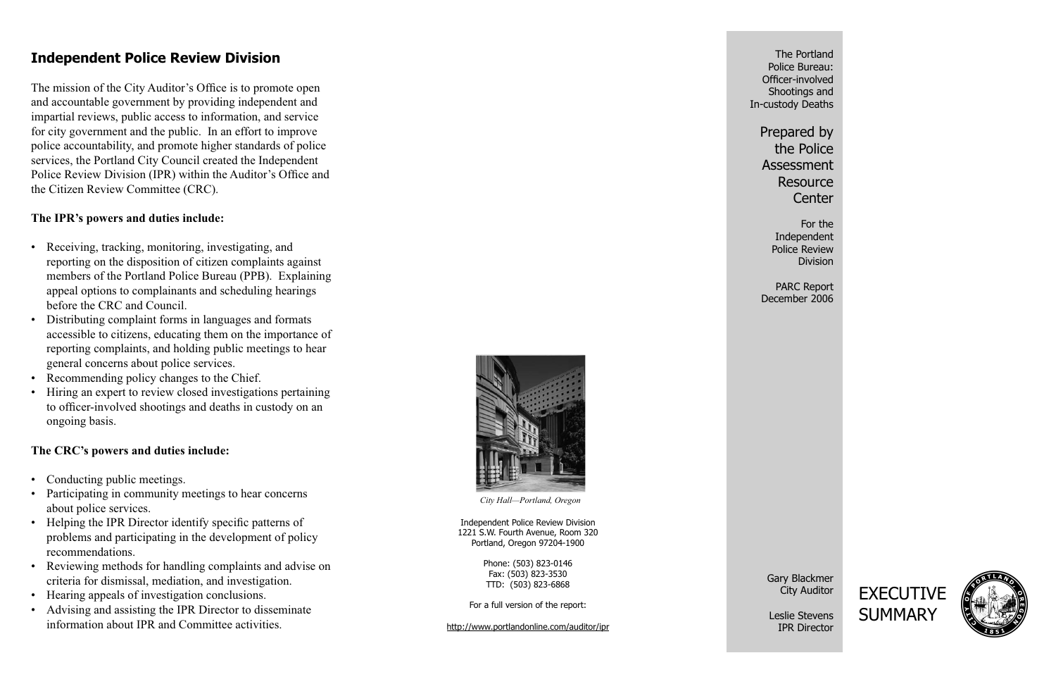The Portland Police Bureau: Officer-involved Shootings and In-custody Deaths

> Prepared by the Police Assessment **Resource Center**

For theIndependent Police Review Division

PARC Report December 2006

Gary Blackmer City Auditor

Leslie StevensIPR Director





# **Independent Police Review Division**

The mission of the City Auditor's Office is to promote open and accountable government by providing independent and impartial reviews, public access to information, and service for city government and the public. In an effort to improve police accountability, and promote higher standards of police services, the Portland City Council created the Independent Police Review Division (IPR) within the Auditor's Office and the Citizen Review Committee (CRC).

#### **The IPR's powers and duties include:**

- Conducting public meetings.
- Participating in community meetings to hear concerns about police services.
- Helping the IPR Director identify specific patterns of problems and participating in the development of policy recommendations.
- Reviewing methods for handling complaints and advise on criteria for dismissal, mediation, and investigation.
- Hearing appeals of investigation conclusions.
- Advising and assisting the IPR Director to disseminate information about IPR and Committee activities.
- Receiving, tracking, monitoring, investigating, and reporting on the disposition of citizen complaints against members of the Portland Police Bureau (PPB). Explaining appeal options to complainants and scheduling hearings before the CRC and Council.
- Distributing complaint forms in languages and formats accessible to citizens, educating them on the importance of reporting complaints, and holding public meetings to hear general concerns about police services. •
- Recommending policy changes to the Chief.
- Hiring an expert to review closed investigations pertaining to officer-involved shootings and deaths in custody on an ongoing basis. •

#### **The CRC's powers and duties include:**

Independent Police Review Division 1221 S.W. Fourth Avenue, Room 320 Portland, Oregon 97204-1900

> Phone: (503) 823-0146 Fax: (503) 823-3530 TTD: (503) 823-6868

For a full version of the report:

http://www.portlandonline.com/auditor/ipr



*City Hall—Portland, Oregon*